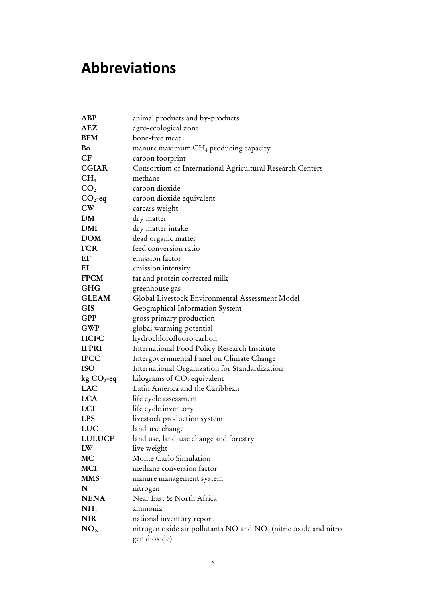## **Abbreviations**

| ABP                    | animal products and by-products                                                              |
|------------------------|----------------------------------------------------------------------------------------------|
| <b>AEZ</b>             | agro-ecological zone                                                                         |
| <b>BFM</b>             | bone-free meat                                                                               |
| Bo                     | manure maximum $CH_4$ producing capacity                                                     |
| CF                     | carbon footprint                                                                             |
| <b>CGIAR</b>           | Consortium of International Agricultural Research Centers                                    |
| CH <sub>4</sub>        | methane                                                                                      |
| CO <sub>2</sub>        | carbon dioxide                                                                               |
| $CO2$ -eq              | carbon dioxide equivalent                                                                    |
| $\mathbf{C}\mathbf{W}$ | carcass weight                                                                               |
| DM                     | dry matter                                                                                   |
| <b>DMI</b>             | dry matter intake                                                                            |
| <b>DOM</b>             | dead organic matter                                                                          |
| <b>FCR</b>             | feed conversion ratio                                                                        |
| EF                     | emission factor                                                                              |
| EI                     | emission intensity                                                                           |
| <b>FPCM</b>            | fat and protein corrected milk                                                               |
| <b>GHG</b>             | greenhouse gas                                                                               |
| <b>GLEAM</b>           | Global Livestock Environmental Assessment Model                                              |
| <b>GIS</b>             | Geographical Information System                                                              |
| <b>GPP</b>             | gross primary production                                                                     |
| <b>GWP</b>             | global warming potential                                                                     |
| <b>HCFC</b>            | hydrochlorofluoro carbon                                                                     |
| <b>IFPRI</b>           | International Food Policy Research Institute                                                 |
| <b>IPCC</b>            | Intergovernmental Panel on Climate Change                                                    |
| <b>ISO</b>             | International Organization for Standardization                                               |
| $kg CO2 - eq$          | kilograms of CO <sub>2</sub> equivalent                                                      |
| <b>LAC</b>             | Latin America and the Caribbean                                                              |
| <b>LCA</b>             | life cycle assessment                                                                        |
| LCI                    | life cycle inventory                                                                         |
| <b>LPS</b>             | livestock production system                                                                  |
| LUC                    | land-use change                                                                              |
| <b>LULUCF</b>          | land use, land-use change and forestry                                                       |
| LW                     | live weight                                                                                  |
| <b>MC</b>              | Monte Carlo Simulation                                                                       |
| <b>MCF</b>             | methane conversion factor                                                                    |
| <b>MMS</b>             | manure management system                                                                     |
| N                      | nitrogen                                                                                     |
| <b>NENA</b>            | Near East & North Africa                                                                     |
| NH <sub>3</sub>        | ammonia                                                                                      |
| <b>NIR</b>             | national inventory report                                                                    |
| NO <sub>X</sub>        | nitrogen oxide air pollutants NO and NO <sub>2</sub> (nitric oxide and nitro<br>gen dioxide) |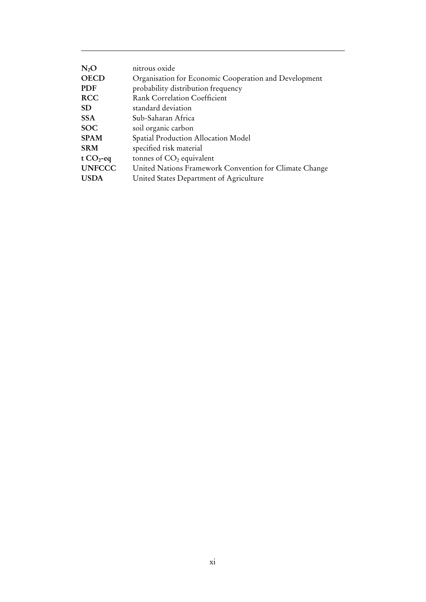| $N_2O$        | nitrous oxide                                          |
|---------------|--------------------------------------------------------|
| <b>OECD</b>   | Organisation for Economic Cooperation and Development  |
| <b>PDF</b>    | probability distribution frequency                     |
| <b>RCC</b>    | <b>Rank Correlation Coefficient</b>                    |
| <b>SD</b>     | standard deviation                                     |
| <b>SSA</b>    | Sub-Saharan Africa                                     |
| <b>SOC</b>    | soil organic carbon                                    |
| <b>SPAM</b>   | Spatial Production Allocation Model                    |
| <b>SRM</b>    | specified risk material                                |
| t $CO2$ -eq   | tonnes of $CO2$ equivalent                             |
| <b>UNFCCC</b> | United Nations Framework Convention for Climate Change |
| <b>USDA</b>   | United States Department of Agriculture                |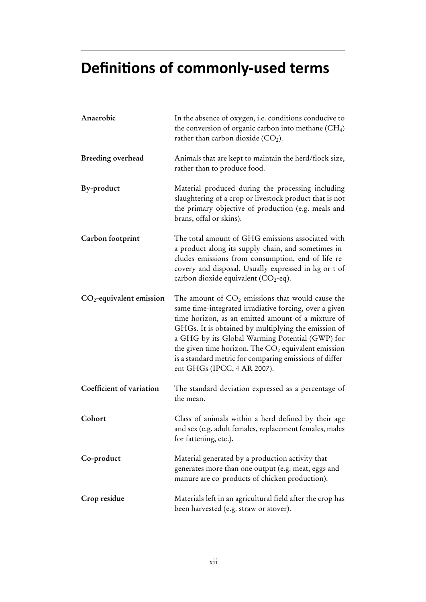# **Definitions of commonly-used terms**

| Anaerobic                  | In the absence of oxygen, i.e. conditions conducive to<br>the conversion of organic carbon into methane $(CH4)$<br>rather than carbon dioxide $(CO2)$ .                                                                                                                                                                                                                                                                         |
|----------------------------|---------------------------------------------------------------------------------------------------------------------------------------------------------------------------------------------------------------------------------------------------------------------------------------------------------------------------------------------------------------------------------------------------------------------------------|
| Breeding overhead          | Animals that are kept to maintain the herd/flock size,<br>rather than to produce food.                                                                                                                                                                                                                                                                                                                                          |
| By-product                 | Material produced during the processing including<br>slaughtering of a crop or livestock product that is not<br>the primary objective of production (e.g. meals and<br>brans, offal or skins).                                                                                                                                                                                                                                  |
| Carbon footprint           | The total amount of GHG emissions associated with<br>a product along its supply-chain, and sometimes in-<br>cludes emissions from consumption, end-of-life re-<br>covery and disposal. Usually expressed in kg or t of<br>carbon dioxide equivalent $(CO_2$ -eq).                                                                                                                                                               |
| $CO2$ -equivalent emission | The amount of $CO2$ emissions that would cause the<br>same time-integrated irradiative forcing, over a given<br>time horizon, as an emitted amount of a mixture of<br>GHGs. It is obtained by multiplying the emission of<br>a GHG by its Global Warming Potential (GWP) for<br>the given time horizon. The $CO2$ equivalent emission<br>is a standard metric for comparing emissions of differ-<br>ent GHGs (IPCC, 4 AR 2007). |
| Coefficient of variation   | The standard deviation expressed as a percentage of<br>the mean.                                                                                                                                                                                                                                                                                                                                                                |
| Cohort                     | Class of animals within a herd defined by their age<br>and sex (e.g. adult females, replacement females, males<br>for fattening, etc.).                                                                                                                                                                                                                                                                                         |
| Co-product                 | Material generated by a production activity that<br>generates more than one output (e.g. meat, eggs and<br>manure are co-products of chicken production).                                                                                                                                                                                                                                                                       |
| Crop residue               | Materials left in an agricultural field after the crop has<br>been harvested (e.g. straw or stover).                                                                                                                                                                                                                                                                                                                            |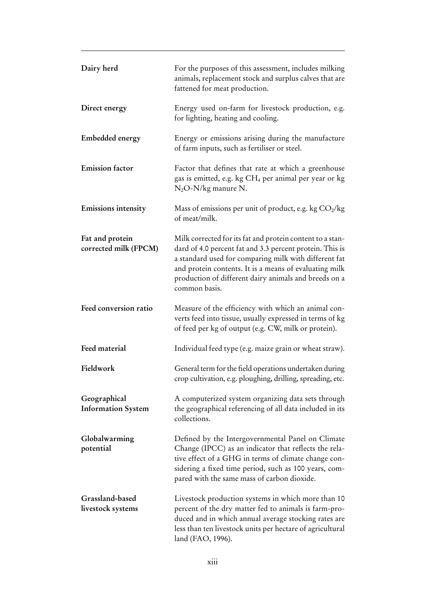| Dairy herd                                | For the purposes of this assessment, includes milking<br>animals, replacement stock and surplus calves that are<br>fattened for meat production.                                                                                                                                                                   |
|-------------------------------------------|--------------------------------------------------------------------------------------------------------------------------------------------------------------------------------------------------------------------------------------------------------------------------------------------------------------------|
| Direct energy                             | Energy used on-farm for livestock production, e.g.<br>for lighting, heating and cooling.                                                                                                                                                                                                                           |
| <b>Embedded energy</b>                    | Energy or emissions arising during the manufacture<br>of farm inputs, such as fertiliser or steel.                                                                                                                                                                                                                 |
| <b>Emission</b> factor                    | Factor that defines that rate at which a greenhouse<br>gas is emitted, e.g. kg CH <sub>4</sub> per animal per year or kg<br>$N_2O-N/kg$ manure N.                                                                                                                                                                  |
| <b>Emissions intensity</b>                | Mass of emissions per unit of product, e.g. kg $CO2/kg$<br>of meat/milk.                                                                                                                                                                                                                                           |
| Fat and protein<br>corrected milk (FPCM)  | Milk corrected for its fat and protein content to a stan-<br>dard of 4.0 percent fat and 3.3 percent protein. This is<br>a standard used for comparing milk with different fat<br>and protein contents. It is a means of evaluating milk<br>production of different dairy animals and breeds on a<br>common basis. |
| Feed conversion ratio                     | Measure of the efficiency with which an animal con-<br>verts feed into tissue, usually expressed in terms of kg<br>of feed per kg of output (e.g. CW, milk or protein).                                                                                                                                            |
| Feed material                             | Individual feed type (e.g. maize grain or wheat straw).                                                                                                                                                                                                                                                            |
| Fieldwork                                 | General term for the field operations undertaken during<br>crop cultivation, e.g. ploughing, drilling, spreading, etc.                                                                                                                                                                                             |
| Geographical<br><b>Information System</b> | A computerized system organizing data sets through<br>the geographical referencing of all data included in its<br>collections.                                                                                                                                                                                     |
| Globalwarming<br>potential                | Defined by the Intergovernmental Panel on Climate<br>Change (IPCC) as an indicator that reflects the rela-<br>tive effect of a GHG in terms of climate change con-<br>sidering a fixed time period, such as 100 years, com-<br>pared with the same mass of carbon dioxide.                                         |
| Grassland-based<br>livestock systems      | Livestock production systems in which more than 10<br>percent of the dry matter fed to animals is farm-pro-<br>duced and in which annual average stocking rates are<br>less than ten livestock units per hectare of agricultural<br>land (FAO, 1996).                                                              |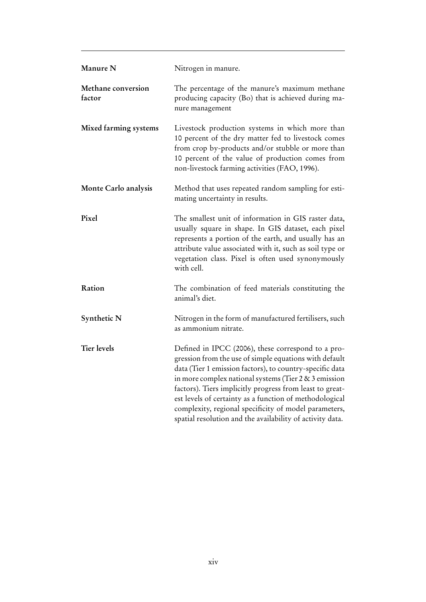| Manure N                     | Nitrogen in manure.                                                                                                                                                                                                                                                                                                                                                                                                                                                            |
|------------------------------|--------------------------------------------------------------------------------------------------------------------------------------------------------------------------------------------------------------------------------------------------------------------------------------------------------------------------------------------------------------------------------------------------------------------------------------------------------------------------------|
| Methane conversion<br>factor | The percentage of the manure's maximum methane<br>producing capacity (Bo) that is achieved during ma-<br>nure management                                                                                                                                                                                                                                                                                                                                                       |
| Mixed farming systems        | Livestock production systems in which more than<br>10 percent of the dry matter fed to livestock comes<br>from crop by-products and/or stubble or more than<br>10 percent of the value of production comes from<br>non-livestock farming activities (FAO, 1996).                                                                                                                                                                                                               |
| Monte Carlo analysis         | Method that uses repeated random sampling for esti-<br>mating uncertainty in results.                                                                                                                                                                                                                                                                                                                                                                                          |
| Pixel                        | The smallest unit of information in GIS raster data,<br>usually square in shape. In GIS dataset, each pixel<br>represents a portion of the earth, and usually has an<br>attribute value associated with it, such as soil type or<br>vegetation class. Pixel is often used synonymously<br>with cell.                                                                                                                                                                           |
| Ration                       | The combination of feed materials constituting the<br>animal's diet.                                                                                                                                                                                                                                                                                                                                                                                                           |
| Synthetic N                  | Nitrogen in the form of manufactured fertilisers, such<br>as ammonium nitrate.                                                                                                                                                                                                                                                                                                                                                                                                 |
| <b>Tier levels</b>           | Defined in IPCC (2006), these correspond to a pro-<br>gression from the use of simple equations with default<br>data (Tier 1 emission factors), to country-specific data<br>in more complex national systems (Tier 2 & 3 emission<br>factors). Tiers implicitly progress from least to great-<br>est levels of certainty as a function of methodological<br>complexity, regional specificity of model parameters,<br>spatial resolution and the availability of activity data. |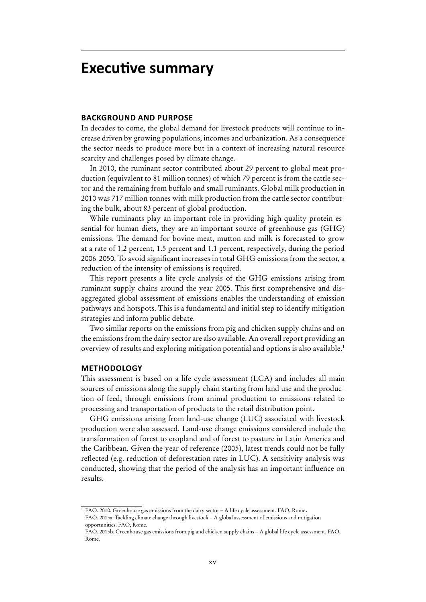### **Executive summary**

#### **Background and Purpose**

In decades to come, the global demand for livestock products will continue to increase driven by growing populations, incomes and urbanization. As a consequence the sector needs to produce more but in a context of increasing natural resource scarcity and challenges posed by climate change.

In 2010, the ruminant sector contributed about 29 percent to global meat production (equivalent to 81 million tonnes) of which 79 percent is from the cattle sector and the remaining from buffalo and small ruminants. Global milk production in 2010 was 717 million tonnes with milk production from the cattle sector contributing the bulk, about 83 percent of global production.

While ruminants play an important role in providing high quality protein essential for human diets, they are an important source of greenhouse gas (GHG) emissions. The demand for bovine meat, mutton and milk is forecasted to grow at a rate of 1.2 percent, 1.5 percent and 1.1 percent, respectively, during the period 2006-2050. To avoid significant increases in total GHG emissions from the sector, a reduction of the intensity of emissions is required.

This report presents a life cycle analysis of the GHG emissions arising from ruminant supply chains around the year 2005. This first comprehensive and disaggregated global assessment of emissions enables the understanding of emission pathways and hotspots. This is a fundamental and initial step to identify mitigation strategies and inform public debate.

Two similar reports on the emissions from pig and chicken supply chains and on the emissions from the dairy sector are also available. An overall report providing an overview of results and exploring mitigation potential and options is also available.1

#### **Methodology**

This assessment is based on a life cycle assessment (LCA) and includes all main sources of emissions along the supply chain starting from land use and the production of feed, through emissions from animal production to emissions related to processing and transportation of products to the retail distribution point.

GHG emissions arising from land-use change (LUC) associated with livestock production were also assessed. Land-use change emissions considered include the transformation of forest to cropland and of forest to pasture in Latin America and the Caribbean. Given the year of reference (2005), latest trends could not be fully reflected (e.g. reduction of deforestation rates in LUC). A sensitivity analysis was conducted, showing that the period of the analysis has an important influence on results.

<sup>1</sup> FAO. 2010. Greenhouse gas emissions from the dairy sector – A life cycle assessment. FAO, Rome. FAO. 2013a. Tackling climate change through livestock – A global assessment of emissions and mitigation opportunities. FAO, Rome.

FAO. 2013b. Greenhouse gas emissions from pig and chicken supply chains – A global life cycle assessment. FAO, Rome.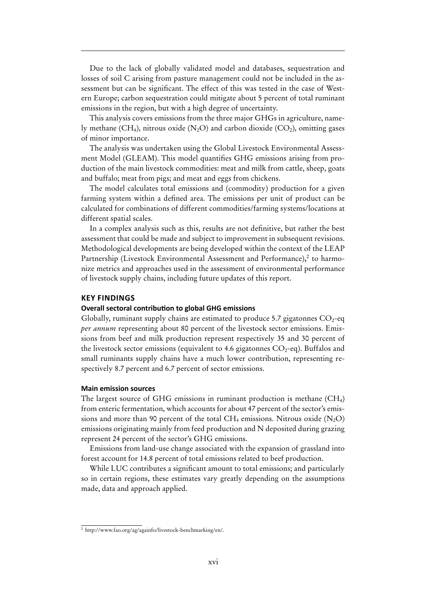Due to the lack of globally validated model and databases, sequestration and losses of soil C arising from pasture management could not be included in the assessment but can be significant. The effect of this was tested in the case of Western Europe; carbon sequestration could mitigate about 5 percent of total ruminant emissions in the region, but with a high degree of uncertainty.

This analysis covers emissions from the three major GHGs in agriculture, namely methane (CH<sub>4</sub>), nitrous oxide (N<sub>2</sub>O) and carbon dioxide (CO<sub>2</sub>), omitting gases of minor importance.

The analysis was undertaken using the Global Livestock Environmental Assessment Model (GLEAM). This model quantifies GHG emissions arising from production of the main livestock commodities: meat and milk from cattle, sheep, goats and buffalo; meat from pigs; and meat and eggs from chickens.

The model calculates total emissions and (commodity) production for a given farming system within a defined area. The emissions per unit of product can be calculated for combinations of different commodities/farming systems/locations at different spatial scales.

In a complex analysis such as this, results are not definitive, but rather the best assessment that could be made and subject to improvement in subsequent revisions. Methodological developments are being developed within the context of the LEAP Partnership (Livestock Environmental Assessment and Performance), <sup>2</sup> to harmonize metrics and approaches used in the assessment of environmental performance of livestock supply chains, including future updates of this report.

#### **Key Findings**

#### **Overall sectoral contribution to global GHG emissions**

Globally, ruminant supply chains are estimated to produce 5.7 gigatonnes  $CO<sub>2</sub>$ -eq *per annum* representing about 80 percent of the livestock sector emissions. Emissions from beef and milk production represent respectively 35 and 30 percent of the livestock sector emissions (equivalent to 4.6 gigatonnes  $CO_2$ -eq). Buffalos and small ruminants supply chains have a much lower contribution, representing respectively 8.7 percent and 6.7 percent of sector emissions.

#### **Main emission sources**

The largest source of GHG emissions in ruminant production is methane (CH4) from enteric fermentation, which accounts for about 47 percent of the sector's emissions and more than 90 percent of the total  $CH_4$  emissions. Nitrous oxide  $(N<sub>2</sub>O)$ emissions originating mainly from feed production and N deposited during grazing represent 24 percent of the sector's GHG emissions.

Emissions from land-use change associated with the expansion of grassland into forest account for 14.8 percent of total emissions related to beef production.

While LUC contributes a significant amount to total emissions; and particularly so in certain regions, these estimates vary greatly depending on the assumptions made, data and approach applied.

 $\frac{1}{2}$  http://www.fao.org/ag/againfo/livestock-benchmarking/en/.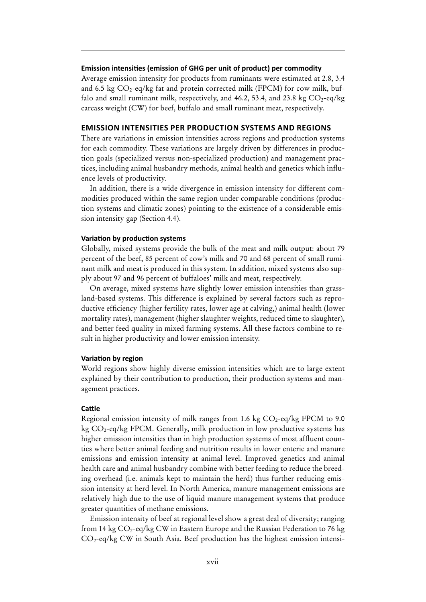#### **Emission intensities (emission of GHG per unit of product) per commodity**

Average emission intensity for products from ruminants were estimated at 2.8, 3.4 and 6.5 kg  $CO_2$ -eq/kg fat and protein corrected milk (FPCM) for cow milk, buffalo and small ruminant milk, respectively, and 46.2, 53.4, and 23.8 kg  $CO_2$ -eq/kg carcass weight (CW) for beef, buffalo and small ruminant meat, respectively.

#### **Emission intensities per production systems and regions**

There are variations in emission intensities across regions and production systems for each commodity. These variations are largely driven by differences in production goals (specialized versus non-specialized production) and management practices, including animal husbandry methods, animal health and genetics which influence levels of productivity.

In addition, there is a wide divergence in emission intensity for different commodities produced within the same region under comparable conditions (production systems and climatic zones) pointing to the existence of a considerable emission intensity gap (Section 4.4).

#### **Variation by production systems**

Globally, mixed systems provide the bulk of the meat and milk output: about 79 percent of the beef, 85 percent of cow's milk and 70 and 68 percent of small ruminant milk and meat is produced in this system. In addition, mixed systems also supply about 97 and 96 percent of buffaloes' milk and meat, respectively.

On average, mixed systems have slightly lower emission intensities than grassland-based systems. This difference is explained by several factors such as reproductive efficiency (higher fertility rates, lower age at calving,) animal health (lower mortality rates), management (higher slaughter weights, reduced time to slaughter), and better feed quality in mixed farming systems. All these factors combine to result in higher productivity and lower emission intensity.

#### **Variation by region**

World regions show highly diverse emission intensities which are to large extent explained by their contribution to production, their production systems and management practices.

#### **Cattle**

Regional emission intensity of milk ranges from 1.6 kg  $CO_2$ -eq/kg FPCM to 9.0 kg  $CO_2$ -eq/kg FPCM. Generally, milk production in low productive systems has higher emission intensities than in high production systems of most affluent counties where better animal feeding and nutrition results in lower enteric and manure emissions and emission intensity at animal level. Improved genetics and animal health care and animal husbandry combine with better feeding to reduce the breeding overhead (i.e. animals kept to maintain the herd) thus further reducing emission intensity at herd level. In North America, manure management emissions are relatively high due to the use of liquid manure management systems that produce greater quantities of methane emissions.

Emission intensity of beef at regional level show a great deal of diversity; ranging from 14 kg  $CO_2$ -eq/kg CW in Eastern Europe and the Russian Federation to 76 kg  $CO_2$ -eq/kg CW in South Asia. Beef production has the highest emission intensi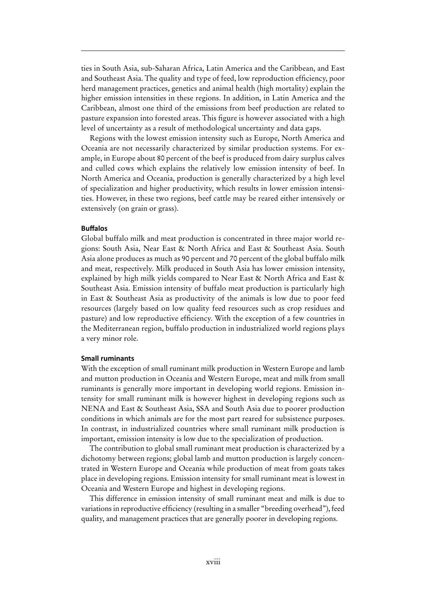ties in South Asia, sub-Saharan Africa, Latin America and the Caribbean, and East and Southeast Asia. The quality and type of feed, low reproduction efficiency, poor herd management practices, genetics and animal health (high mortality) explain the higher emission intensities in these regions. In addition, in Latin America and the Caribbean, almost one third of the emissions from beef production are related to pasture expansion into forested areas. This figure is however associated with a high level of uncertainty as a result of methodological uncertainty and data gaps.

Regions with the lowest emission intensity such as Europe, North America and Oceania are not necessarily characterized by similar production systems. For example, in Europe about 80 percent of the beef is produced from dairy surplus calves and culled cows which explains the relatively low emission intensity of beef. In North America and Oceania, production is generally characterized by a high level of specialization and higher productivity, which results in lower emission intensities. However, in these two regions, beef cattle may be reared either intensively or extensively (on grain or grass).

#### **Buffalos**

Global buffalo milk and meat production is concentrated in three major world regions: South Asia, Near East & North Africa and East & Southeast Asia. South Asia alone produces as much as 90 percent and 70 percent of the global buffalo milk and meat, respectively. Milk produced in South Asia has lower emission intensity, explained by high milk yields compared to Near East & North Africa and East & Southeast Asia. Emission intensity of buffalo meat production is particularly high in East & Southeast Asia as productivity of the animals is low due to poor feed resources (largely based on low quality feed resources such as crop residues and pasture) and low reproductive efficiency. With the exception of a few countries in the Mediterranean region, buffalo production in industrialized world regions plays a very minor role.

#### **Small ruminants**

With the exception of small ruminant milk production in Western Europe and lamb and mutton production in Oceania and Western Europe, meat and milk from small ruminants is generally more important in developing world regions. Emission intensity for small ruminant milk is however highest in developing regions such as NENA and East & Southeast Asia, SSA and South Asia due to poorer production conditions in which animals are for the most part reared for subsistence purposes. In contrast, in industrialized countries where small ruminant milk production is important, emission intensity is low due to the specialization of production.

The contribution to global small ruminant meat production is characterized by a dichotomy between regions; global lamb and mutton production is largely concentrated in Western Europe and Oceania while production of meat from goats takes place in developing regions. Emission intensity for small ruminant meat is lowest in Oceania and Western Europe and highest in developing regions.

This difference in emission intensity of small ruminant meat and milk is due to variations in reproductive efficiency (resulting in a smaller "breeding overhead"), feed quality, and management practices that are generally poorer in developing regions.